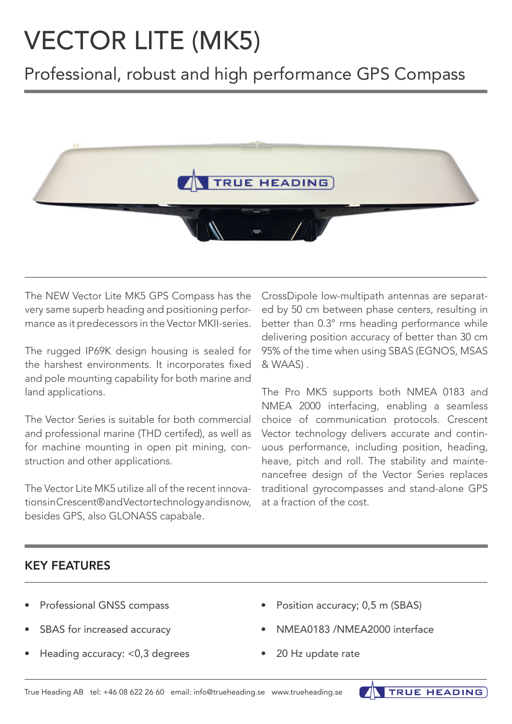# VECTOR LITE (MK5)

Professional, robust and high performance GPS Compass



The NEW Vector Lite MK5 GPS Compass has the very same superb heading and positioning performance as it predecessors in the Vector MKII-series.

The rugged IP69K design housing is sealed for the harshest environments. It incorporates fixed and pole mounting capability for both marine and land applications.

The Vector Series is suitable for both commercial and professional marine (THD certifed), as well as for machine mounting in open pit mining, construction and other applications.

The Vector Lite MK5 utilize all of the recent innovations in Crescent® and Vector technology and is now, besides GPS, also GLONASS capabale.

CrossDipole low-multipath antennas are separated by 50 cm between phase centers, resulting in better than 0.3° rms heading performance while delivering position accuracy of better than 30 cm 95% of the time when using SBAS (EGNOS, MSAS & WAAS) .

The Pro MK5 supports both NMEA 0183 and NMEA 2000 interfacing, enabling a seamless choice of communication protocols. Crescent Vector technology delivers accurate and continuous performance, including position, heading, heave, pitch and roll. The stability and maintenancefree design of the Vector Series replaces traditional gyrocompasses and stand-alone GPS at a fraction of the cost.

### KEY FEATURES

- Professional GNSS compass
- SBAS for increased accuracy
- Heading accuracy: <0,3 degrees
- Position accuracy; 0,5 m (SBAS)
- NMEA0183 /NMEA2000 interface

**TRUE HEADING** 

20 Hz update rate